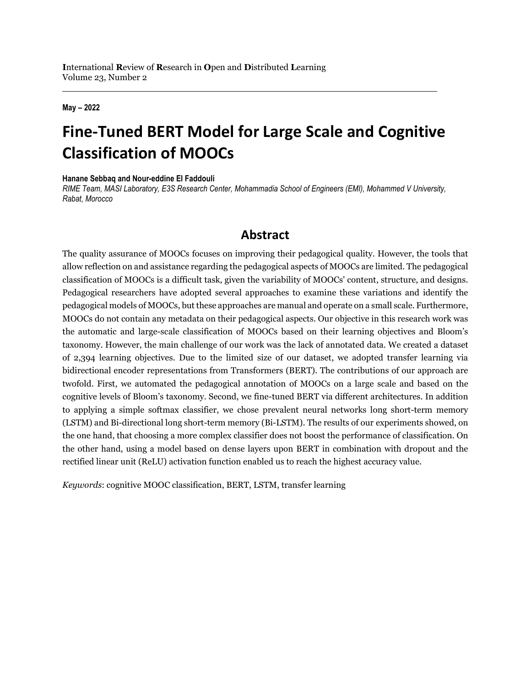#### **May – 2022**

# **Fine-Tuned BERT Model for Large Scale and Cognitive Classification of MOOCs**

**Hanane Sebbaq and Nour-eddine El Faddouli** 

*RIME Team, MASI Laboratory, E3S Research Center, Mohammadia School of Engineers (EMI), Mohammed V University, Rabat, Morocco*

## **Abstract**

The quality assurance of MOOCs focuses on improving their pedagogical quality. However, the tools that allow reflection on and assistance regarding the pedagogical aspects of MOOCs are limited. The pedagogical classification of MOOCs is a difficult task, given the variability of MOOCs' content, structure, and designs. Pedagogical researchers have adopted several approaches to examine these variations and identify the pedagogical models of MOOCs, but these approaches are manual and operate on a small scale. Furthermore, MOOCs do not contain any metadata on their pedagogical aspects. Our objective in this research work was the automatic and large-scale classification of MOOCs based on their learning objectives and Bloom's taxonomy. However, the main challenge of our work was the lack of annotated data. We created a dataset of 2,394 learning objectives. Due to the limited size of our dataset, we adopted transfer learning via bidirectional encoder representations from Transformers (BERT). The contributions of our approach are twofold. First, we automated the pedagogical annotation of MOOCs on a large scale and based on the cognitive levels of Bloom's taxonomy. Second, we fine-tuned BERT via different architectures. In addition to applying a simple softmax classifier, we chose prevalent neural networks long short-term memory (LSTM) and Bi-directional long short-term memory (Bi-LSTM). The results of our experiments showed, on the one hand, that choosing a more complex classifier does not boost the performance of classification. On the other hand, using a model based on dense layers upon BERT in combination with dropout and the rectified linear unit (ReLU) activation function enabled us to reach the highest accuracy value.

*Keywords*: cognitive MOOC classification, BERT, LSTM, transfer learning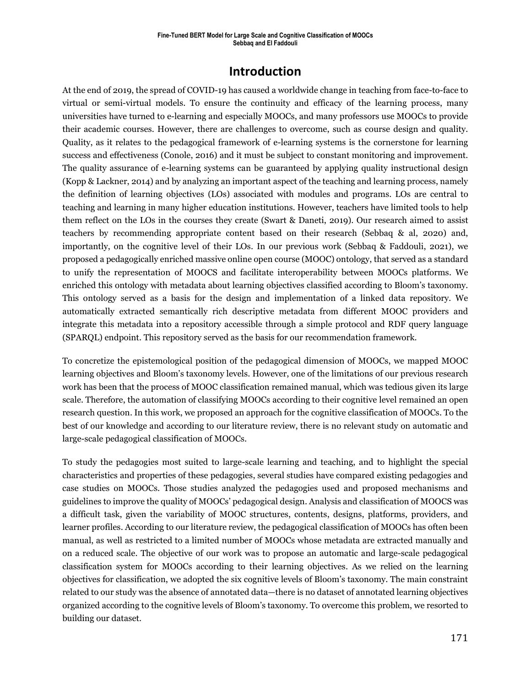## **Introduction**

At the end of 2019, the spread of COVID-19 has caused a worldwide change in teaching from face-to-face to virtual or semi-virtual models. To ensure the continuity and efficacy of the learning process, many universities have turned to e-learning and especially MOOCs, and many professors use MOOCs to provide their academic courses. However, there are challenges to overcome, such as course design and quality. Quality, as it relates to the pedagogical framework of e-learning systems is the cornerstone for learning success and effectiveness (Conole, 2016) and it must be subject to constant monitoring and improvement. The quality assurance of e-learning systems can be guaranteed by applying quality instructional design (Kopp & Lackner, 2014) and by analyzing an important aspect of the teaching and learning process, namely the definition of learning objectives (LOs) associated with modules and programs. LOs are central to teaching and learning in many higher education institutions. However, teachers have limited tools to help them reflect on the LOs in the courses they create (Swart & Daneti, 2019). Our research aimed to assist teachers by recommending appropriate content based on their research (Sebbaq & al, 2020) and, importantly, on the cognitive level of their LOs. In our previous work (Sebbaq & Faddouli, 2021), we proposed a pedagogically enriched massive online open course (MOOC) ontology, that served as a standard to unify the representation of MOOCS and facilitate interoperability between MOOCs platforms. We enriched this ontology with metadata about learning objectives classified according to Bloom's taxonomy. This ontology served as a basis for the design and implementation of a linked data repository. We automatically extracted semantically rich descriptive metadata from different MOOC providers and integrate this metadata into a repository accessible through a simple protocol and RDF query language (SPARQL) endpoint. This repository served as the basis for our recommendation framework.

To concretize the epistemological position of the pedagogical dimension of MOOCs, we mapped MOOC learning objectives and Bloom's taxonomy levels. However, one of the limitations of our previous research work has been that the process of MOOC classification remained manual, which was tedious given its large scale. Therefore, the automation of classifying MOOCs according to their cognitive level remained an open research question. In this work, we proposed an approach for the cognitive classification of MOOCs. To the best of our knowledge and according to our literature review, there is no relevant study on automatic and large-scale pedagogical classification of MOOCs.

To study the pedagogies most suited to large-scale learning and teaching, and to highlight the special characteristics and properties of these pedagogies, several studies have compared existing pedagogies and case studies on MOOCs. Those studies analyzed the pedagogies used and proposed mechanisms and guidelines to improve the quality of MOOCs' pedagogical design. Analysis and classification of MOOCS was a difficult task, given the variability of MOOC structures, contents, designs, platforms, providers, and learner profiles. According to our literature review, the pedagogical classification of MOOCs has often been manual, as well as restricted to a limited number of MOOCs whose metadata are extracted manually and on a reduced scale. The objective of our work was to propose an automatic and large-scale pedagogical classification system for MOOCs according to their learning objectives. As we relied on the learning objectives for classification, we adopted the six cognitive levels of Bloom's taxonomy. The main constraint related to our study was the absence of annotated data—there is no dataset of annotated learning objectives organized according to the cognitive levels of Bloom's taxonomy. To overcome this problem, we resorted to building our dataset.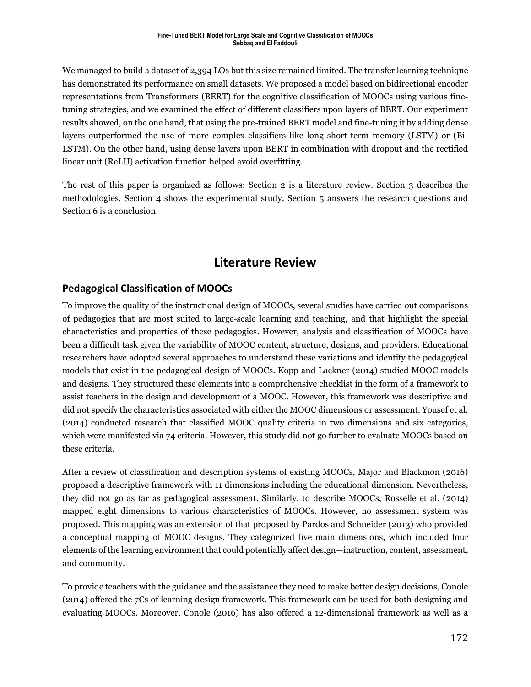We managed to build a dataset of 2,394 LOs but this size remained limited. The transfer learning technique has demonstrated its performance on small datasets. We proposed a model based on bidirectional encoder representations from Transformers (BERT) for the cognitive classification of MOOCs using various finetuning strategies, and we examined the effect of different classifiers upon layers of BERT. Our experiment results showed, on the one hand, that using the pre-trained BERT model and fine-tuning it by adding dense layers outperformed the use of more complex classifiers like long short-term memory (LSTM) or (Bi-LSTM). On the other hand, using dense layers upon BERT in combination with dropout and the rectified linear unit (ReLU) activation function helped avoid overfitting.

The rest of this paper is organized as follows: Section 2 is a literature review. Section 3 describes the methodologies. Section 4 shows the experimental study. Section 5 answers the research questions and Section 6 is a conclusion.

## **Literature Review**

## **Pedagogical Classification of MOOCs**

To improve the quality of the instructional design of MOOCs, several studies have carried out comparisons of pedagogies that are most suited to large-scale learning and teaching, and that highlight the special characteristics and properties of these pedagogies. However, analysis and classification of MOOCs have been a difficult task given the variability of MOOC content, structure, designs, and providers. Educational researchers have adopted several approaches to understand these variations and identify the pedagogical models that exist in the pedagogical design of MOOCs. Kopp and Lackner (2014) studied MOOC models and designs. They structured these elements into a comprehensive checklist in the form of a framework to assist teachers in the design and development of a MOOC. However, this framework was descriptive and did not specify the characteristics associated with either the MOOC dimensions or assessment. Yousef et al. (2014) conducted research that classified MOOC quality criteria in two dimensions and six categories, which were manifested via 74 criteria. However, this study did not go further to evaluate MOOCs based on these criteria.

After a review of classification and description systems of existing MOOCs, Major and Blackmon (2016) proposed a descriptive framework with 11 dimensions including the educational dimension. Nevertheless, they did not go as far as pedagogical assessment. Similarly, to describe MOOCs, Rosselle et al. (2014) mapped eight dimensions to various characteristics of MOOCs. However, no assessment system was proposed. This mapping was an extension of that proposed by Pardos and Schneider (2013) who provided a conceptual mapping of MOOC designs. They categorized five main dimensions, which included four elements of the learning environment that could potentially affect design—instruction, content, assessment, and community.

To provide teachers with the guidance and the assistance they need to make better design decisions, Conole (2014) offered the 7Cs of learning design framework. This framework can be used for both designing and evaluating MOOCs. Moreover, Conole (2016) has also offered a 12-dimensional framework as well as a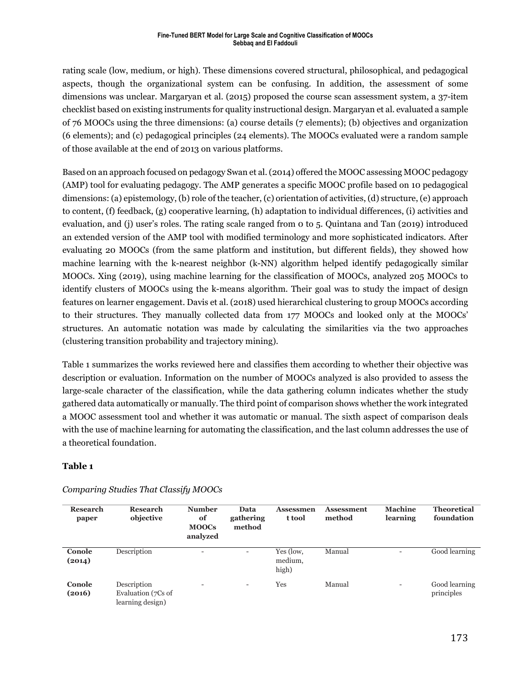#### **Fine-Tuned BERT Model for Large Scale and Cognitive Classification of MOOCs Sebbaq and El Faddouli**

rating scale (low, medium, or high). These dimensions covered structural, philosophical, and pedagogical aspects, though the organizational system can be confusing. In addition, the assessment of some dimensions was unclear. Margaryan et al. (2015) proposed the course scan assessment system, a 37-item checklist based on existing instruments for quality instructional design. Margaryan et al. evaluated a sample of 76 MOOCs using the three dimensions: (a) course details (7 elements); (b) objectives and organization (6 elements); and (c) pedagogical principles (24 elements). The MOOCs evaluated were a random sample of those available at the end of 2013 on various platforms.

Based on an approach focused on pedagogy Swan et al.(2014) offered the MOOC assessing MOOC pedagogy (AMP) tool for evaluating pedagogy. The AMP generates a specific MOOC profile based on 10 pedagogical dimensions: (a) epistemology, (b) role of the teacher, (c) orientation of activities, (d) structure, (e) approach to content, (f) feedback, (g) cooperative learning, (h) adaptation to individual differences, (i) activities and evaluation, and (j) user's roles. The rating scale ranged from 0 to 5. Quintana and Tan (2019) introduced an extended version of the AMP tool with modified terminology and more sophisticated indicators. After evaluating 20 MOOCs (from the same platform and institution, but different fields), they showed how machine learning with the k-nearest neighbor (k-NN) algorithm helped identify pedagogically similar MOOCs. Xing (2019), using machine learning for the classification of MOOCs, analyzed 205 MOOCs to identify clusters of MOOCs using the k-means algorithm. Their goal was to study the impact of design features on learner engagement. Davis et al. (2018) used hierarchical clustering to group MOOCs according to their structures. They manually collected data from 177 MOOCs and looked only at the MOOCs' structures. An automatic notation was made by calculating the similarities via the two approaches (clustering transition probability and trajectory mining).

Table 1 summarizes the works reviewed here and classifies them according to whether their objective was description or evaluation. Information on the number of MOOCs analyzed is also provided to assess the large-scale character of the classification, while the data gathering column indicates whether the study gathered data automatically or manually. The third point of comparison shows whether the work integrated a MOOC assessment tool and whether it was automatic or manual. The sixth aspect of comparison deals with the use of machine learning for automating the classification, and the last column addresses the use of a theoretical foundation.

#### **Table 1**

| Research<br>paper | Research<br>objective                                 | <b>Number</b><br>of<br><b>MOOCs</b><br>analyzed | Data<br>gathering<br>method | <b>Assessmen</b><br>t tool    | <b>Assessment</b><br>method | <b>Machine</b><br>learning | <b>Theoretical</b><br>foundation |
|-------------------|-------------------------------------------------------|-------------------------------------------------|-----------------------------|-------------------------------|-----------------------------|----------------------------|----------------------------------|
| Conole<br>(2014)  | Description                                           | $\overline{\phantom{0}}$                        | $\overline{\phantom{0}}$    | Yes (low,<br>medium,<br>high) | Manual                      |                            | Good learning                    |
| Conole<br>(2016)  | Description<br>Evaluation (7Cs of<br>learning design) | $\overline{\phantom{a}}$                        | $\overline{\phantom{a}}$    | Yes                           | Manual                      | $\overline{\phantom{a}}$   | Good learning<br>principles      |

#### *Comparing Studies That Classify MOOCs*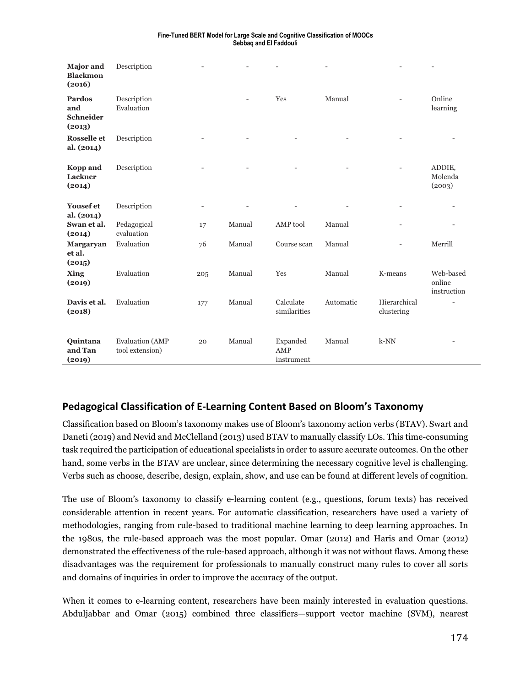| Fine-Tuned BERT Model for Large Scale and Cognitive Classification of MOOCs |
|-----------------------------------------------------------------------------|
| Sebbag and El Faddouli                                                      |

| <b>Major</b> and<br><b>Blackmon</b><br>(2016) | Description                               |                          |        |                               |           |                            |                                    |
|-----------------------------------------------|-------------------------------------------|--------------------------|--------|-------------------------------|-----------|----------------------------|------------------------------------|
| Pardos<br>and<br>Schneider<br>(2013)          | Description<br>Evaluation                 |                          |        | Yes                           | Manual    |                            | Online<br>learning                 |
| <b>Rosselle</b> et<br>al. (2014)              | Description                               |                          |        |                               |           |                            |                                    |
| <b>Kopp</b> and<br><b>Lackner</b><br>(2014)   | Description                               |                          |        |                               |           |                            | ADDIE,<br>Molenda<br>(2003)        |
| Yousef et<br>al. (2014)                       | Description                               | $\overline{\phantom{0}}$ |        |                               |           |                            |                                    |
| Swan et al.<br>(2014)                         | Pedagogical<br>evaluation                 | 17                       | Manual | AMP tool                      | Manual    |                            |                                    |
| Margaryan<br>et al.<br>(2015)                 | Evaluation                                | 76                       | Manual | Course scan                   | Manual    |                            | Merrill                            |
| Xing<br>(2019)                                | Evaluation                                | 205                      | Manual | Yes                           | Manual    | K-means                    | Web-based<br>online<br>instruction |
| Davis et al.<br>(2018)                        | Evaluation                                | 177                      | Manual | Calculate<br>similarities     | Automatic | Hierarchical<br>clustering |                                    |
| Quintana<br>and Tan<br>(2019)                 | <b>Evaluation</b> (AMP<br>tool extension) | 20                       | Manual | Expanded<br>AMP<br>instrument | Manual    | $k-NN$                     |                                    |

## **Pedagogical Classification of E-Learning Content Based on Bloom's Taxonomy**

Classification based on Bloom's taxonomy makes use of Bloom's taxonomy action verbs (BTAV). Swart and Daneti (2019) and Nevid and McClelland (2013) used BTAV to manually classify LOs. This time-consuming task required the participation of educational specialists in order to assure accurate outcomes. On the other hand, some verbs in the BTAV are unclear, since determining the necessary cognitive level is challenging. Verbs such as choose, describe, design, explain, show, and use can be found at different levels of cognition.

The use of Bloom's taxonomy to classify e-learning content (e.g., questions, forum texts) has received considerable attention in recent years. For automatic classification, researchers have used a variety of methodologies, ranging from rule-based to traditional machine learning to deep learning approaches. In the 1980s, the rule-based approach was the most popular. Omar (2012) and Haris and Omar (2012) demonstrated the effectiveness of the rule-based approach, although it was not without flaws. Among these disadvantages was the requirement for professionals to manually construct many rules to cover all sorts and domains of inquiries in order to improve the accuracy of the output.

When it comes to e-learning content, researchers have been mainly interested in evaluation questions. Abduljabbar and Omar (2015) combined three classifiers—support vector machine (SVM), nearest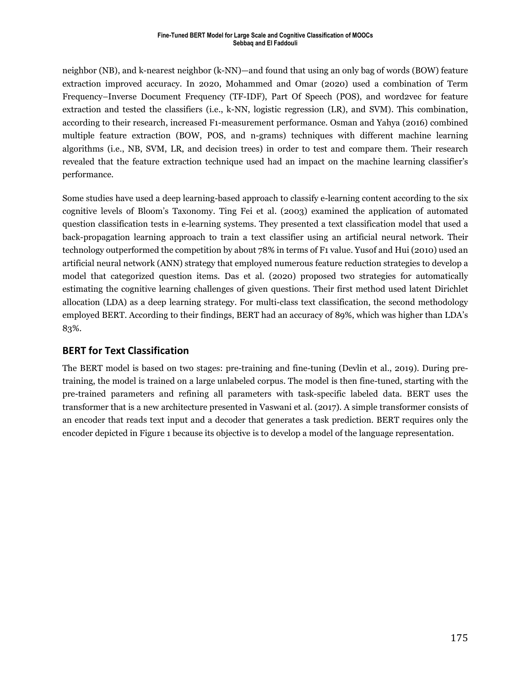#### **Fine-Tuned BERT Model for Large Scale and Cognitive Classification of MOOCs Sebbaq and El Faddouli**

neighbor (NB), and k-nearest neighbor (k-NN)—and found that using an only bag of words (BOW) feature extraction improved accuracy. In 2020, Mohammed and Omar (2020) used a combination of Term Frequency–Inverse Document Frequency (TF-IDF), Part Of Speech (POS), and word2vec for feature extraction and tested the classifiers (i.e., k-NN, logistic regression (LR), and SVM). This combination, according to their research, increased F1-measurement performance. Osman and Yahya (2016) combined multiple feature extraction (BOW, POS, and n-grams) techniques with different machine learning algorithms (i.e., NB, SVM, LR, and decision trees) in order to test and compare them. Their research revealed that the feature extraction technique used had an impact on the machine learning classifier's performance.

Some studies have used a deep learning-based approach to classify e-learning content according to the six cognitive levels of Bloom's Taxonomy. Ting Fei et al. (2003) examined the application of automated question classification tests in e-learning systems. They presented a text classification model that used a back-propagation learning approach to train a text classifier using an artificial neural network. Their technology outperformed the competition by about 78% in terms of F1 value. Yusof and Hui (2010) used an artificial neural network (ANN) strategy that employed numerous feature reduction strategies to develop a model that categorized question items. Das et al. (2020) proposed two strategies for automatically estimating the cognitive learning challenges of given questions. Their first method used latent Dirichlet allocation (LDA) as a deep learning strategy. For multi-class text classification, the second methodology employed BERT. According to their findings, BERT had an accuracy of 89%, which was higher than LDA's 83%.

## **BERT for Text Classification**

The BERT model is based on two stages: pre-training and fine-tuning (Devlin et al., 2019). During pretraining, the model is trained on a large unlabeled corpus. The model is then fine-tuned, starting with the pre-trained parameters and refining all parameters with task-specific labeled data. BERT uses the transformer that is a new architecture presented in Vaswani et al. (2017). A simple transformer consists of an encoder that reads text input and a decoder that generates a task prediction. BERT requires only the encoder depicted in Figure 1 because its objective is to develop a model of the language representation.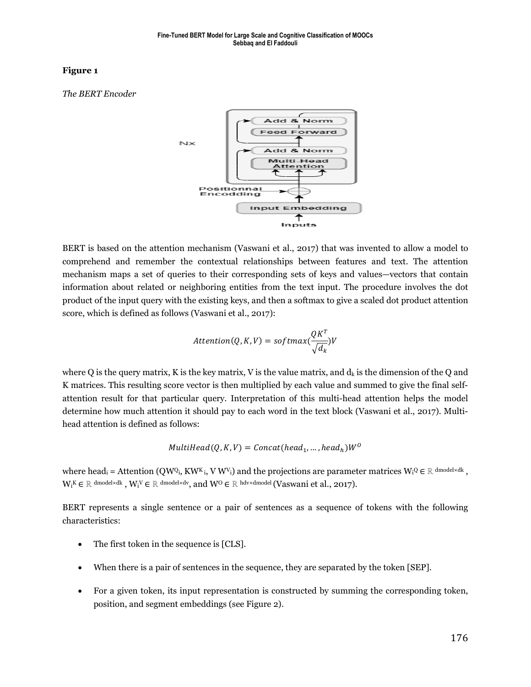*The BERT Encoder*



BERT is based on the attention mechanism (Vaswani et al., 2017) that was invented to allow a model to comprehend and remember the contextual relationships between features and text. The attention mechanism maps a set of queries to their corresponding sets of keys and values—vectors that contain information about related or neighboring entities from the text input. The procedure involves the dot product of the input query with the existing keys, and then a softmax to give a scaled dot product attention score, which is defined as follows (Vaswani et al., 2017):

$$
Attention(Q, K, V) = softmax(\frac{QK^{T}}{\sqrt{d_k}})V
$$

where Q is the query matrix, K is the key matrix, V is the value matrix, and  $d_k$  is the dimension of the Q and K matrices. This resulting score vector is then multiplied by each value and summed to give the final selfattention result for that particular query. Interpretation of this multi-head attention helps the model determine how much attention it should pay to each word in the text block (Vaswani et al., 2017). Multihead attention is defined as follows:

$$
MultiHead(Q, K, V) = Concat(head_1, ..., head_h)W^O
$$

where head<sub>i</sub> = Attention (QWQ<sub>i</sub>, KW<sup>K</sup><sub>i</sub>, V W<sup>V</sup><sub>i</sub>) and the projections are parameter matrices W<sub>i</sub>Q  $\in$  R dmodel×dk,  $W_i$ K $\in \mathbb{R}$  dmodel×dk,  $W_i$ V $\in \mathbb{R}$  dmodel×dv, and  $W^0 \in \mathbb{R}$  hdv×dmodel (Vaswani et al., 2017).

BERT represents a single sentence or a pair of sentences as a sequence of tokens with the following characteristics:

- The first token in the sequence is [CLS].
- When there is a pair of sentences in the sequence, they are separated by the token [SEP].
- For a given token, its input representation is constructed by summing the corresponding token, position, and segment embeddings (see Figure 2).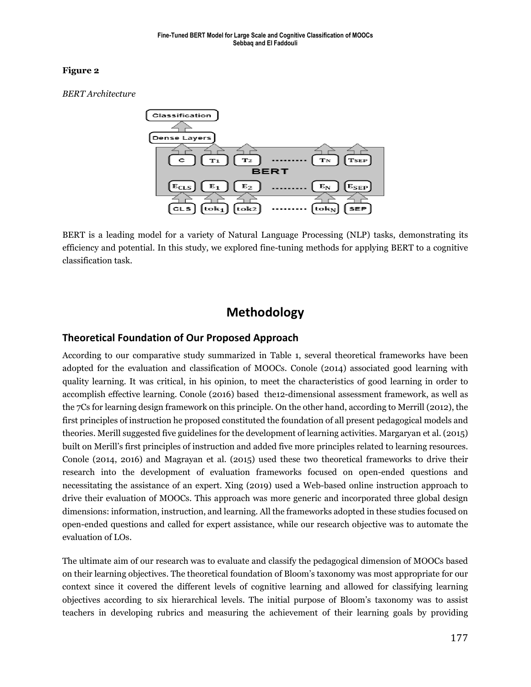*BERT Architecture*



BERT is a leading model for a variety of Natural Language Processing (NLP) tasks, demonstrating its efficiency and potential. In this study, we explored fine-tuning methods for applying BERT to a cognitive classification task.

## **Methodology**

## **Theoretical Foundation of Our Proposed Approach**

According to our comparative study summarized in Table 1, several theoretical frameworks have been adopted for the evaluation and classification of MOOCs. Conole (2014) associated good learning with quality learning. It was critical, in his opinion, to meet the characteristics of good learning in order to accomplish effective learning. Conole (2016) based the12-dimensional assessment framework, as well as the 7Cs for learning design framework on this principle. On the other hand, according to Merrill (2012), the first principles of instruction he proposed constituted the foundation of all present pedagogical models and theories. Merill suggested five guidelines for the development of learning activities. Margaryan et al. (2015) built on Merill's first principles of instruction and added five more principles related to learning resources. Conole (2014, 2016) and Magrayan et al. (2015) used these two theoretical frameworks to drive their research into the development of evaluation frameworks focused on open-ended questions and necessitating the assistance of an expert. Xing (2019) used a Web-based online instruction approach to drive their evaluation of MOOCs. This approach was more generic and incorporated three global design dimensions: information, instruction, and learning. All the frameworks adopted in these studies focused on open-ended questions and called for expert assistance, while our research objective was to automate the evaluation of LOs.

The ultimate aim of our research was to evaluate and classify the pedagogical dimension of MOOCs based on their learning objectives. The theoretical foundation of Bloom's taxonomy was most appropriate for our context since it covered the different levels of cognitive learning and allowed for classifying learning objectives according to six hierarchical levels. The initial purpose of Bloom's taxonomy was to assist teachers in developing rubrics and measuring the achievement of their learning goals by providing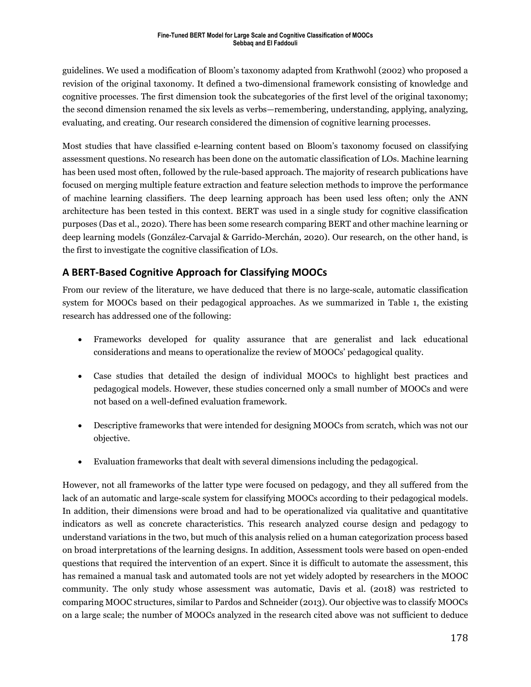guidelines. We used a modification of Bloom's taxonomy adapted from Krathwohl (2002) who proposed a revision of the original taxonomy. It defined a two-dimensional framework consisting of knowledge and cognitive processes. The first dimension took the subcategories of the first level of the original taxonomy; the second dimension renamed the six levels as verbs—remembering, understanding, applying, analyzing, evaluating, and creating. Our research considered the dimension of cognitive learning processes.

Most studies that have classified e-learning content based on Bloom's taxonomy focused on classifying assessment questions. No research has been done on the automatic classification of LOs. Machine learning has been used most often, followed by the rule-based approach. The majority of research publications have focused on merging multiple feature extraction and feature selection methods to improve the performance of machine learning classifiers. The deep learning approach has been used less often; only the ANN architecture has been tested in this context. BERT was used in a single study for cognitive classification purposes (Das et al., 2020). There has been some research comparing BERT and other machine learning or deep learning models (González-Carvajal & Garrido-Merchán, 2020). Our research, on the other hand, is the first to investigate the cognitive classification of LOs.

## **A BERT-Based Cognitive Approach for Classifying MOOCs**

From our review of the literature, we have deduced that there is no large-scale, automatic classification system for MOOCs based on their pedagogical approaches. As we summarized in Table 1, the existing research has addressed one of the following:

- Frameworks developed for quality assurance that are generalist and lack educational considerations and means to operationalize the review of MOOCs' pedagogical quality.
- Case studies that detailed the design of individual MOOCs to highlight best practices and pedagogical models. However, these studies concerned only a small number of MOOCs and were not based on a well-defined evaluation framework.
- Descriptive frameworks that were intended for designing MOOCs from scratch, which was not our objective.
- Evaluation frameworks that dealt with several dimensions including the pedagogical.

However, not all frameworks of the latter type were focused on pedagogy, and they all suffered from the lack of an automatic and large-scale system for classifying MOOCs according to their pedagogical models. In addition, their dimensions were broad and had to be operationalized via qualitative and quantitative indicators as well as concrete characteristics. This research analyzed course design and pedagogy to understand variations in the two, but much of this analysis relied on a human categorization process based on broad interpretations of the learning designs. In addition, Assessment tools were based on open-ended questions that required the intervention of an expert. Since it is difficult to automate the assessment, this has remained a manual task and automated tools are not yet widely adopted by researchers in the MOOC community. The only study whose assessment was automatic, Davis et al. (2018) was restricted to comparing MOOC structures, similar to Pardos and Schneider (2013). Our objective was to classify MOOCs on a large scale; the number of MOOCs analyzed in the research cited above was not sufficient to deduce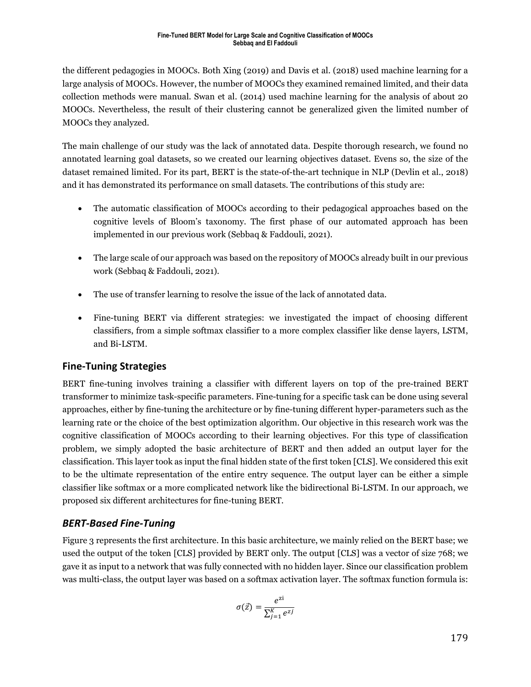the different pedagogies in MOOCs. Both Xing (2019) and Davis et al. (2018) used machine learning for a large analysis of MOOCs. However, the number of MOOCs they examined remained limited, and their data collection methods were manual. Swan et al. (2014) used machine learning for the analysis of about 20 MOOCs. Nevertheless, the result of their clustering cannot be generalized given the limited number of MOOCs they analyzed.

The main challenge of our study was the lack of annotated data. Despite thorough research, we found no annotated learning goal datasets, so we created our learning objectives dataset. Evens so, the size of the dataset remained limited. For its part, BERT is the state-of-the-art technique in NLP (Devlin et al., 2018) and it has demonstrated its performance on small datasets. The contributions of this study are:

- The automatic classification of MOOCs according to their pedagogical approaches based on the cognitive levels of Bloom's taxonomy. The first phase of our automated approach has been implemented in our previous work (Sebbaq & Faddouli, 2021).
- The large scale of our approach was based on the repository of MOOCs already built in our previous work (Sebbaq & Faddouli, 2021).
- The use of transfer learning to resolve the issue of the lack of annotated data.
- Fine-tuning BERT via different strategies: we investigated the impact of choosing different classifiers, from a simple softmax classifier to a more complex classifier like dense layers, LSTM, and Bi-LSTM.

## **Fine-Tuning Strategies**

BERT fine-tuning involves training a classifier with different layers on top of the pre-trained BERT transformer to minimize task-specific parameters. Fine-tuning for a specific task can be done using several approaches, either by fine-tuning the architecture or by fine-tuning different hyper-parameters such as the learning rate or the choice of the best optimization algorithm. Our objective in this research work was the cognitive classification of MOOCs according to their learning objectives. For this type of classification problem, we simply adopted the basic architecture of BERT and then added an output layer for the classification. This layer took as input the final hidden state of the first token [CLS]. We considered this exit to be the ultimate representation of the entire entry sequence. The output layer can be either a simple classifier like softmax or a more complicated network like the bidirectional Bi-LSTM. In our approach, we proposed six different architectures for fine-tuning BERT.

## *BERT-Based Fine-Tuning*

Figure 3 represents the first architecture. In this basic architecture, we mainly relied on the BERT base; we used the output of the token [CLS] provided by BERT only. The output [CLS] was a vector of size 768; we gave it as input to a network that was fully connected with no hidden layer. Since our classification problem was multi-class, the output layer was based on a softmax activation layer. The softmax function formula is:

$$
\sigma(\vec{z}) = \frac{e^{z_i}}{\sum_{j=1}^{K} e^{z_j}}
$$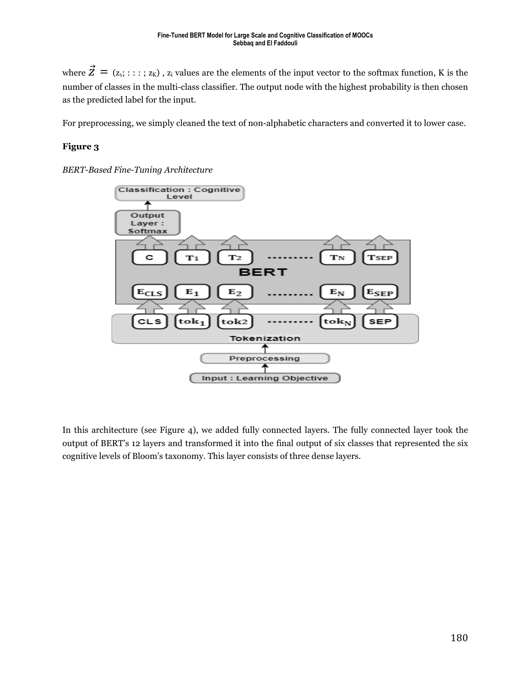where  $\vec{Z} = (z_1; \ldots; z_K)$ ,  $z_i$  values are the elements of the input vector to the softmax function, K is the number of classes in the multi-class classifier. The output node with the highest probability is then chosen as the predicted label for the input.

For preprocessing, we simply cleaned the text of non-alphabetic characters and converted it to lower case.

#### **Figure 3**

*BERT-Based Fine-Tuning Architecture*



In this architecture (see Figure 4), we added fully connected layers. The fully connected layer took the output of BERT's 12 layers and transformed it into the final output of six classes that represented the six cognitive levels of Bloom's taxonomy. This layer consists of three dense layers.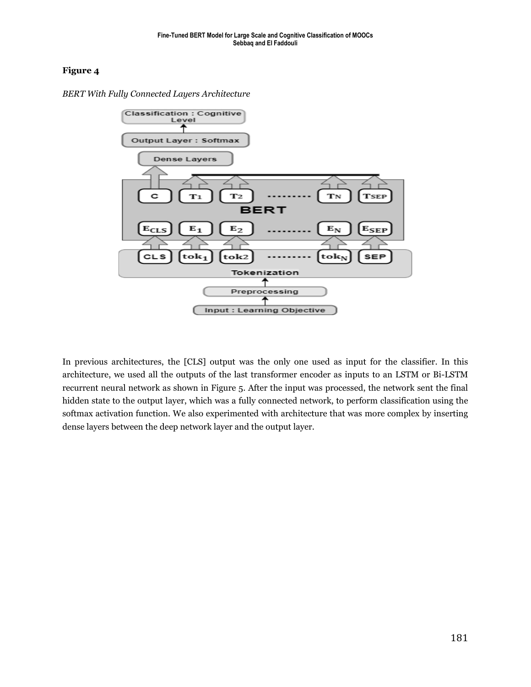

*BERT With Fully Connected Layers Architecture*

In previous architectures, the [CLS] output was the only one used as input for the classifier. In this architecture, we used all the outputs of the last transformer encoder as inputs to an LSTM or Bi-LSTM recurrent neural network as shown in Figure 5. After the input was processed, the network sent the final hidden state to the output layer, which was a fully connected network, to perform classification using the softmax activation function. We also experimented with architecture that was more complex by inserting dense layers between the deep network layer and the output layer.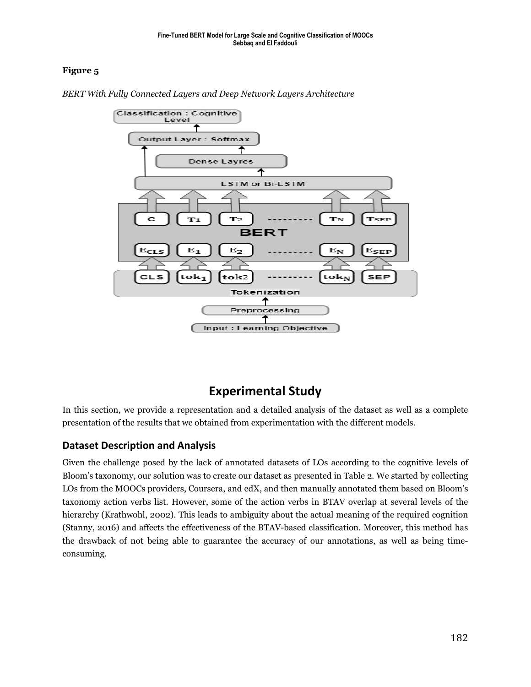

*BERT With Fully Connected Layers and Deep Network Layers Architecture*

## **Experimental Study**

In this section, we provide a representation and a detailed analysis of the dataset as well as a complete presentation of the results that we obtained from experimentation with the different models.

## **Dataset Description and Analysis**

Given the challenge posed by the lack of annotated datasets of LOs according to the cognitive levels of Bloom's taxonomy, our solution was to create our dataset as presented in Table 2. We started by collecting LOs from the MOOCs providers, Coursera, and edX, and then manually annotated them based on Bloom's taxonomy action verbs list. However, some of the action verbs in BTAV overlap at several levels of the hierarchy (Krathwohl, 2002). This leads to ambiguity about the actual meaning of the required cognition (Stanny, 2016) and affects the effectiveness of the BTAV-based classification. Moreover, this method has the drawback of not being able to guarantee the accuracy of our annotations, as well as being timeconsuming.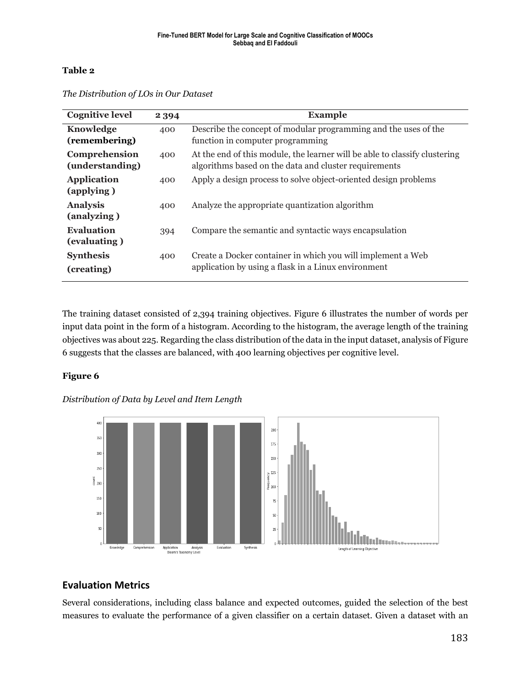#### **Table 2**

| <b>Cognitive level</b>            | 2 3 9 4 | <b>Example</b>                                                                                                                      |
|-----------------------------------|---------|-------------------------------------------------------------------------------------------------------------------------------------|
| Knowledge<br>(remembering)        | 400     | Describe the concept of modular programming and the uses of the<br>function in computer programming                                 |
| Comprehension<br>(understanding)  | 400     | At the end of this module, the learner will be able to classify clustering<br>algorithms based on the data and cluster requirements |
| <b>Application</b><br>(applying)  | 400     | Apply a design process to solve object-oriented design problems                                                                     |
| <b>Analysis</b><br>(analyzing)    | 400     | Analyze the appropriate quantization algorithm                                                                                      |
| <b>Evaluation</b><br>(evaluating) | 394     | Compare the semantic and syntactic ways encapsulation                                                                               |
| <b>Synthesis</b><br>(creating)    | 400     | Create a Docker container in which you will implement a Web<br>application by using a flask in a Linux environment                  |

*The Distribution of LOs in Our Dataset*

The training dataset consisted of 2,394 training objectives. Figure 6 illustrates the number of words per input data point in the form of a histogram. According to the histogram, the average length of the training objectives was about 225. Regarding the class distribution of the data in the input dataset, analysis of Figure 6 suggests that the classes are balanced, with 400 learning objectives per cognitive level.

### **Figure 6**

### *Distribution of Data by Level and Item Length*



## **Evaluation Metrics**

Several considerations, including class balance and expected outcomes, guided the selection of the best measures to evaluate the performance of a given classifier on a certain dataset. Given a dataset with an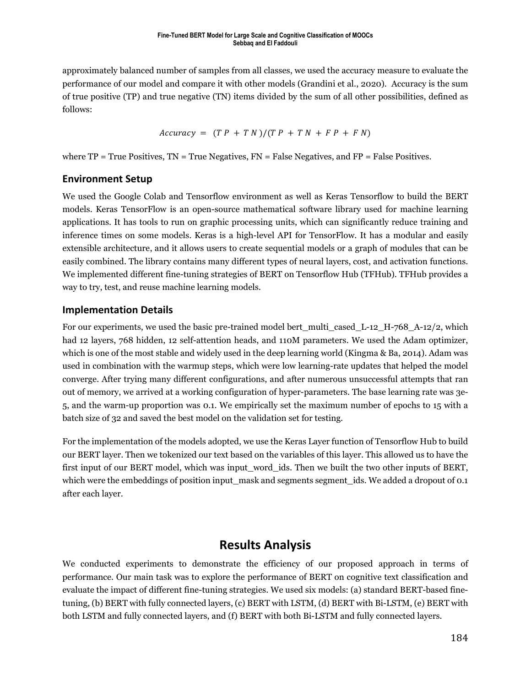approximately balanced number of samples from all classes, we used the accuracy measure to evaluate the performance of our model and compare it with other models (Grandini et al., 2020). Accuracy is the sum of true positive (TP) and true negative (TN) items divided by the sum of all other possibilities, defined as follows:

$$
Accuracy = (TP + TN)/(TP + TN + FP + FN)
$$

where  $TP = True$  Positives,  $TN = True$  Negatives,  $FN = False$  Negatives, and  $FP = False$  Positives.

### **Environment Setup**

We used the Google Colab and Tensorflow environment as well as Keras Tensorflow to build the BERT models. Keras TensorFlow is an open-source mathematical software library used for machine learning applications. It has tools to run on graphic processing units, which can significantly reduce training and inference times on some models. Keras is a high-level API for TensorFlow. It has a modular and easily extensible architecture, and it allows users to create sequential models or a graph of modules that can be easily combined. The library contains many different types of neural layers, cost, and activation functions. We implemented different fine-tuning strategies of BERT on Tensorflow Hub (TFHub). TFHub provides a way to try, test, and reuse machine learning models.

### **Implementation Details**

For our experiments, we used the basic pre-trained model bert multi\_cased L-12 H-768 A-12/2, which had 12 layers, 768 hidden, 12 self-attention heads, and 110M parameters. We used the Adam optimizer, which is one of the most stable and widely used in the deep learning world (Kingma & Ba, 2014). Adam was used in combination with the warmup steps, which were low learning-rate updates that helped the model converge. After trying many different configurations, and after numerous unsuccessful attempts that ran out of memory, we arrived at a working configuration of hyper-parameters. The base learning rate was 3e-5, and the warm-up proportion was 0.1. We empirically set the maximum number of epochs to 15 with a batch size of 32 and saved the best model on the validation set for testing.

For the implementation of the models adopted, we use the Keras Layer function of Tensorflow Hub to build our BERT layer. Then we tokenized our text based on the variables of this layer. This allowed us to have the first input of our BERT model, which was input\_word\_ids. Then we built the two other inputs of BERT, which were the embeddings of position input mask and segments segment ids. We added a dropout of 0.1 after each layer.

## **Results Analysis**

We conducted experiments to demonstrate the efficiency of our proposed approach in terms of performance. Our main task was to explore the performance of BERT on cognitive text classification and evaluate the impact of different fine-tuning strategies. We used six models: (a) standard BERT-based finetuning, (b) BERT with fully connected layers, (c) BERT with LSTM, (d) BERT with Bi-LSTM, (e) BERT with both LSTM and fully connected layers, and (f) BERT with both Bi-LSTM and fully connected layers.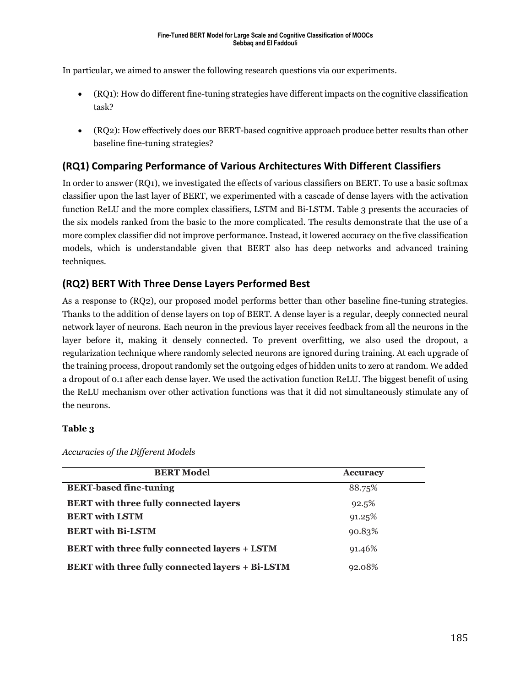In particular, we aimed to answer the following research questions via our experiments.

- (RQ1): How do different fine-tuning strategies have different impacts on the cognitive classification task?
- (RQ2): How effectively does our BERT-based cognitive approach produce better results than other baseline fine-tuning strategies?

## **(RQ1) Comparing Performance of Various Architectures With Different Classifiers**

In order to answer (RQ1), we investigated the effects of various classifiers on BERT. To use a basic softmax classifier upon the last layer of BERT, we experimented with a cascade of dense layers with the activation function ReLU and the more complex classifiers, LSTM and Bi-LSTM. Table 3 presents the accuracies of the six models ranked from the basic to the more complicated. The results demonstrate that the use of a more complex classifier did not improve performance. Instead, it lowered accuracy on the five classification models, which is understandable given that BERT also has deep networks and advanced training techniques.

## **(RQ2) BERT With Three Dense Layers Performed Best**

As a response to (RQ2), our proposed model performs better than other baseline fine-tuning strategies. Thanks to the addition of dense layers on top of BERT. A dense layer is a regular, deeply connected neural network layer of neurons. Each neuron in the previous layer receives feedback from all the neurons in the layer before it, making it densely connected. To prevent overfitting, we also used the dropout, a regularization technique where randomly selected neurons are ignored during training. At each upgrade of the training process, dropout randomly set the outgoing edges of hidden units to zero at random. We added a dropout of 0.1 after each dense layer. We used the activation function ReLU. The biggest benefit of using the ReLU mechanism over other activation functions was that it did not simultaneously stimulate any of the neurons.

#### **Table 3**

| <b>BERT Model</b>                                       | <b>Accuracy</b> |  |
|---------------------------------------------------------|-----------------|--|
| <b>BERT-based fine-tuning</b>                           | 88.75%          |  |
| <b>BERT</b> with three fully connected layers           | 92.5%           |  |
| <b>BERT</b> with LSTM                                   | 91.25%          |  |
| <b>BERT</b> with Bi-LSTM                                | 90.83%          |  |
| <b>BERT</b> with three fully connected layers + LSTM    | 91.46%          |  |
| <b>BERT</b> with three fully connected layers + Bi-LSTM | 92.08%          |  |

*Accuracies of the Different Models*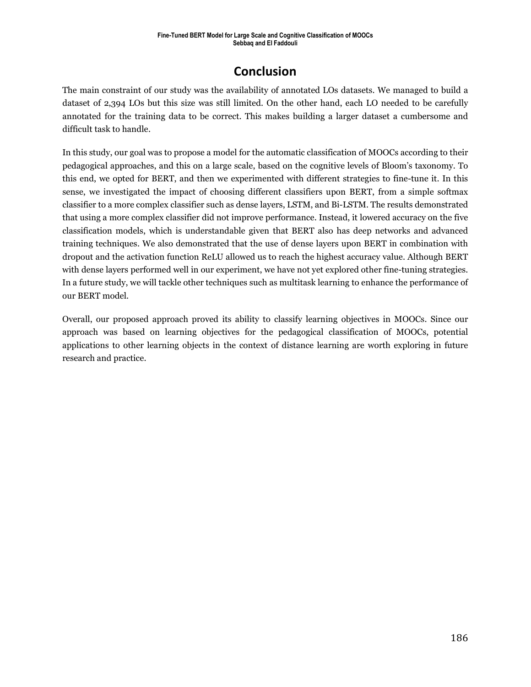## **Conclusion**

The main constraint of our study was the availability of annotated LOs datasets. We managed to build a dataset of 2,394 LOs but this size was still limited. On the other hand, each LO needed to be carefully annotated for the training data to be correct. This makes building a larger dataset a cumbersome and difficult task to handle.

In this study, our goal was to propose a model for the automatic classification of MOOCs according to their pedagogical approaches, and this on a large scale, based on the cognitive levels of Bloom's taxonomy. To this end, we opted for BERT, and then we experimented with different strategies to fine-tune it. In this sense, we investigated the impact of choosing different classifiers upon BERT, from a simple softmax classifier to a more complex classifier such as dense layers, LSTM, and Bi-LSTM. The results demonstrated that using a more complex classifier did not improve performance. Instead, it lowered accuracy on the five classification models, which is understandable given that BERT also has deep networks and advanced training techniques. We also demonstrated that the use of dense layers upon BERT in combination with dropout and the activation function ReLU allowed us to reach the highest accuracy value. Although BERT with dense layers performed well in our experiment, we have not yet explored other fine-tuning strategies. In a future study, we will tackle other techniques such as multitask learning to enhance the performance of our BERT model.

Overall, our proposed approach proved its ability to classify learning objectives in MOOCs. Since our approach was based on learning objectives for the pedagogical classification of MOOCs, potential applications to other learning objects in the context of distance learning are worth exploring in future research and practice.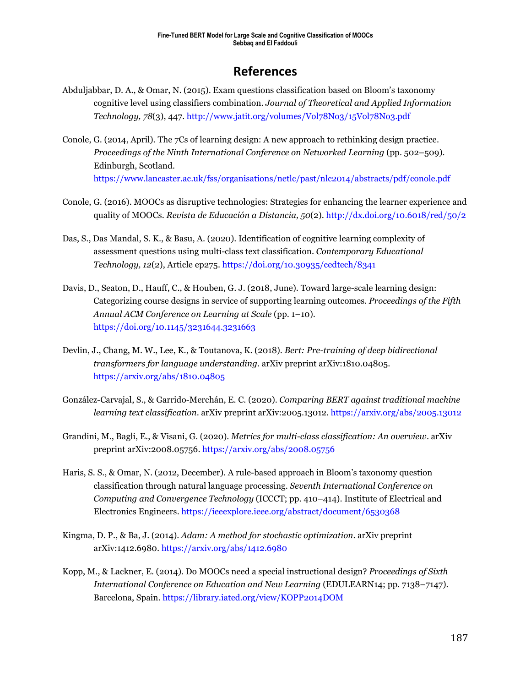## **References**

- Abduljabbar, D. A., & Omar, N. (2015). Exam questions classification based on Bloom's taxonomy cognitive level using classifiers combination. *Journal of Theoretical and Applied Information Technology, 78*(3), 447[. http://www.jatit.org/volumes/Vol78No3/15Vol78No3.pdf](http://www.jatit.org/volumes/Vol78No3/15Vol78No3.pdf)
- Conole, G. (2014, April). The 7Cs of learning design: A new approach to rethinking design practice. *Proceedings of the Ninth International Conference on Networked Learning* (pp. 502–509). Edinburgh, Scotland. <https://www.lancaster.ac.uk/fss/organisations/netlc/past/nlc2014/abstracts/pdf/conole.pdf>
- Conole, G. (2016). MOOCs as disruptive technologies: Strategies for enhancing the learner experience and quality of MOOCs. *Revista de Educación a Distancia, 50*(2). <http://dx.doi.org/10.6018/red/50/2>
- Das, S., Das Mandal, S. K., & Basu, A. (2020). Identification of cognitive learning complexity of assessment questions using multi-class text classification. *Contemporary Educational Technology, 12*(2), Article ep275[. https://doi.org/10.30935/cedtech/8341](https://doi.org/10.30935/cedtech/8341)
- Davis, D., Seaton, D., Hauff, C., & Houben, G. J. (2018, June). Toward large-scale learning design: Categorizing course designs in service of supporting learning outcomes. *Proceedings of the Fifth Annual ACM Conference on Learning at Scale* (pp. 1–10). <https://doi.org/10.1145/3231644.3231663>
- Devlin, J., Chang, M. W., Lee, K., & Toutanova, K. (2018). *Bert: Pre-training of deep bidirectional transformers for language understanding*. arXiv preprint arXiv:1810.04805. <https://arxiv.org/abs/1810.04805>
- González-Carvajal, S., & Garrido-Merchán, E. C. (2020). *Comparing BERT against traditional machine learning text classification*. arXiv preprint arXiv:2005.13012[. https://arxiv.org/abs/2005.13012](https://arxiv.org/abs/2005.13012)
- Grandini, M., Bagli, E., & Visani, G. (2020). *Metrics for multi-class classification: An overview*. arXiv preprint arXiv:2008.05756[. https://arxiv.org/abs/2008.05756](https://arxiv.org/abs/2008.05756)
- Haris, S. S., & Omar, N. (2012, December). A rule-based approach in Bloom's taxonomy question classification through natural language processing. *Seventh International Conference on Computing and Convergence Technology* (ICCCT; pp. 410–414). Institute of Electrical and Electronics Engineers.<https://ieeexplore.ieee.org/abstract/document/6530368>
- Kingma, D. P., & Ba, J. (2014). *Adam: A method for stochastic optimization*. arXiv preprint arXiv:1412.6980.<https://arxiv.org/abs/1412.6980>
- Kopp, M., & Lackner, E. (2014). Do MOOCs need a special instructional design? *Proceedings of Sixth International Conference on Education and New Learning* (EDULEARN14; pp. 7138–7147). Barcelona, Spain. <https://library.iated.org/view/KOPP2014DOM>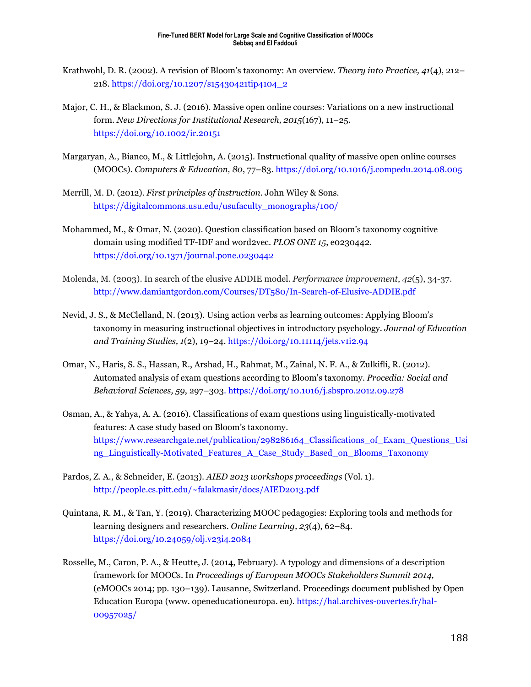- Krathwohl, D. R. (2002). A revision of Bloom's taxonomy: An overview. *Theory into Practice, 41*(4), 212– 218. [https://doi.org/10.1207/s15430421tip4104\\_2](https://doi.org/10.1207/s15430421tip4104_2)
- Major, C. H., & Blackmon, S. J. (2016). Massive open online courses: Variations on a new instructional form. *New Directions for Institutional Research, 2015*(167), 11–25. <https://doi.org/10.1002/ir.20151>
- Margaryan, A., Bianco, M., & Littlejohn, A. (2015). Instructional quality of massive open online courses (MOOCs). *Computers & Education, 80*, 77–83.<https://doi.org/10.1016/j.compedu.2014.08.005>
- Merrill, M. D. (2012). *First principles of instruction*. John Wiley & Sons. [https://digitalcommons.usu.edu/usufaculty\\_monographs/100/](https://digitalcommons.usu.edu/usufaculty_monographs/100/)
- Mohammed, M., & Omar, N. (2020). Question classification based on Bloom's taxonomy cognitive domain using modified TF-IDF and word2vec. *PLOS ONE 15*, e0230442. <https://doi.org/10.1371/journal.pone.0230442>
- Molenda, M. (2003). In search of the elusive ADDIE model. *Performance improvement*, *42*(5), 34-37. <http://www.damiantgordon.com/Courses/DT580/In-Search-of-Elusive-ADDIE.pdf>
- Nevid, J. S., & McClelland, N. (2013). Using action verbs as learning outcomes: Applying Bloom's taxonomy in measuring instructional objectives in introductory psychology. *Journal of Education and Training Studies, 1*(2), 19–24.<https://doi.org/10.11114/jets.v1i2.94>
- Omar, N., Haris, S. S., Hassan, R., Arshad, H., Rahmat, M., Zainal, N. F. A., & Zulkifli, R. (2012). Automated analysis of exam questions according to Bloom's taxonomy. *Procedia: Social and Behavioral Sciences, 59*, 297–303.<https://doi.org/10.1016/j.sbspro.2012.09.278>
- Osman, A., & Yahya, A. A. (2016). Classifications of exam questions using linguistically-motivated features: A case study based on Bloom's taxonomy. [https://www.researchgate.net/publication/298286164\\_Classifications\\_of\\_Exam\\_Questions\\_Usi](https://www.researchgate.net/publication/298286164_Classifications_of_Exam_Questions_Using_Linguistically-Motivated_Features_A_Case_Study_Based_on_Blooms_Taxonomy) [ng\\_Linguistically-Motivated\\_Features\\_A\\_Case\\_Study\\_Based\\_on\\_Blooms\\_Taxonomy](https://www.researchgate.net/publication/298286164_Classifications_of_Exam_Questions_Using_Linguistically-Motivated_Features_A_Case_Study_Based_on_Blooms_Taxonomy)
- Pardos, Z. A., & Schneider, E. (2013). *AIED 2013 workshops proceedings* (Vol. 1). [http://people.cs.pitt.edu/~falakmasir/docs/AIED2013.pdf](http://people.cs.pitt.edu/%7Efalakmasir/docs/AIED2013.pdf)
- Quintana, R. M., & Tan, Y. (2019). Characterizing MOOC pedagogies: Exploring tools and methods for learning designers and researchers. *Online Learning, 23*(4), 62–84. <https://doi.org/10.24059/olj.v23i4.2084>
- Rosselle, M., Caron, P. A., & Heutte, J. (2014, February). A typology and dimensions of a description framework for MOOCs. In *Proceedings of European MOOCs Stakeholders Summit 2014,*  (eMOOCs 2014; pp. 130–139). Lausanne, Switzerland. Proceedings document published by Open Education Europa (www. openeducationeuropa. eu). [https://hal.archives-ouvertes.fr/hal-](https://hal.archives-ouvertes.fr/hal-00957025/)[00957025/](https://hal.archives-ouvertes.fr/hal-00957025/)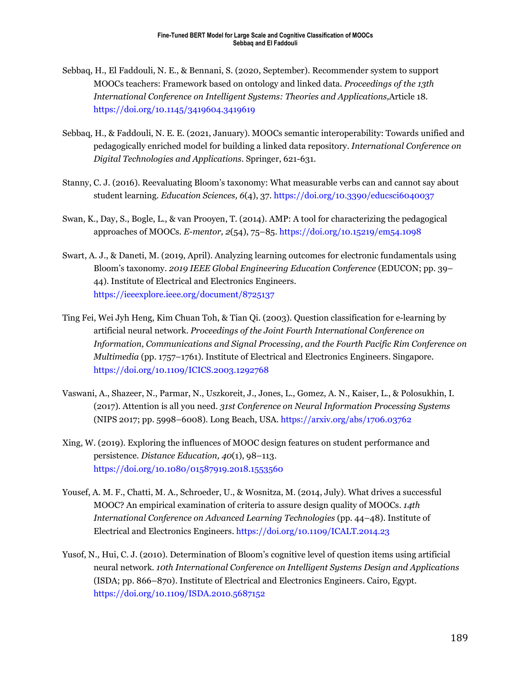- Sebbaq, H., El Faddouli, N. E., & Bennani, S. (2020, September). Recommender system to support MOOCs teachers: Framework based on ontology and linked data. *Proceedings of the 13th International Conference on Intelligent Systems: Theories and Applications,*Article 18. <https://doi.org/10.1145/3419604.3419619>
- Sebbaq, H., & Faddouli, N. E. E. (2021, January). MOOCs semantic interoperability: Towards unified and pedagogically enriched model for building a linked data repository. *International Conference on Digital Technologies and Applications*. Springer, 621-631.
- Stanny, C. J. (2016). Reevaluating Bloom's taxonomy: What measurable verbs can and cannot say about student learning. *Education Sciences, 6*(4), 37.<https://doi.org/10.3390/educsci6040037>
- Swan, K., Day, S., Bogle, L., & van Prooyen, T. (2014). AMP: A tool for characterizing the pedagogical approaches of MOOCs. *E-mentor, 2*(54), 75–85.<https://doi.org/10.15219/em54.1098>
- Swart, A. J., & Daneti, M. (2019, April). Analyzing learning outcomes for electronic fundamentals using Bloom's taxonomy. *2019 IEEE Global Engineering Education Conference* (EDUCON; pp. 39– 44). Institute of Electrical and Electronics Engineers. <https://ieeexplore.ieee.org/document/8725137>
- Ting Fei, Wei Jyh Heng, Kim Chuan Toh, & Tian Qi. (2003). Question classification for e-learning by artificial neural network. *Proceedings of the Joint Fourth International Conference on Information, Communications and Signal Processing, and the Fourth Pacific Rim Conference on Multimedia* (pp. 1757–1761). Institute of Electrical and Electronics Engineers. Singapore. <https://doi.org/10.1109/ICICS.2003.1292768>
- Vaswani, A., Shazeer, N., Parmar, N., Uszkoreit, J., Jones, L., Gomez, A. N., Kaiser, L., & Polosukhin, I. (2017). Attention is all you need. *31st Conference on Neural Information Processing Systems*  (NIPS 2017; pp. 5998–6008). Long Beach, USA.<https://arxiv.org/abs/1706.03762>
- Xing, W. (2019). Exploring the influences of MOOC design features on student performance and persistence. *Distance Education, 40*(1), 98–113. <https://doi.org/10.1080/01587919.2018.1553560>
- Yousef, A. M. F., Chatti, M. A., Schroeder, U., & Wosnitza, M. (2014, July). What drives a successful MOOC? An empirical examination of criteria to assure design quality of MOOCs. *14th International Conference on Advanced Learning Technologies* (pp. 44–48). Institute of Electrical and Electronics Engineers[. https://doi.org/10.1109/ICALT.2014.23](https://doi.org/10.1109/ICALT.2014.23)
- Yusof, N., Hui, C. J. (2010). Determination of Bloom's cognitive level of question items using artificial neural network. *10th International Conference on Intelligent Systems Design and Applications* (ISDA; pp. 866–870). Institute of Electrical and Electronics Engineers. Cairo, Egypt. <https://doi.org/10.1109/ISDA.2010.5687152>